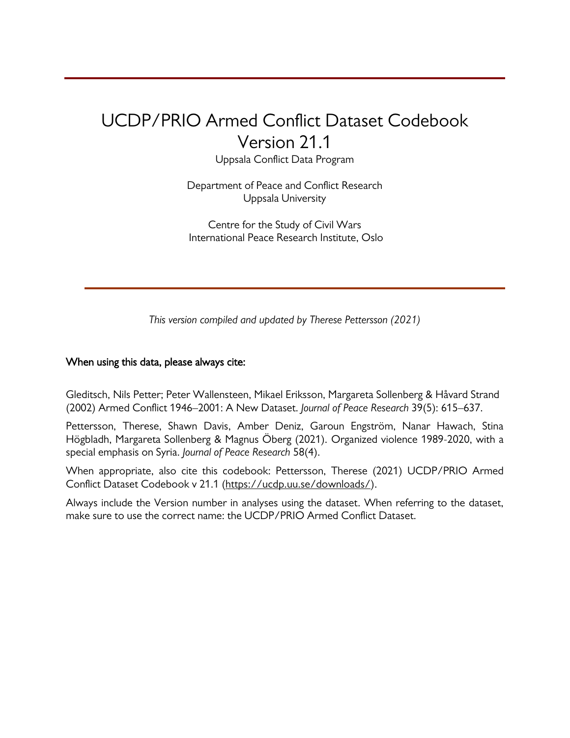# UCDP/PRIO Armed Conflict Dataset Codebook Version 21.1

Uppsala Conflict Data Program

Department of Peace and Conflict Research Uppsala University

Centre for the Study of Civil Wars International Peace Research Institute, Oslo

*This version compiled and updated by Therese Pettersson (2021)*

#### When using this data, please always cite:

Gleditsch, Nils Petter; Peter Wallensteen, Mikael Eriksson, Margareta Sollenberg & Håvard Strand (2002) Armed Conflict 1946–2001: A New Dataset. *Journal of Peace Research* 39(5): 615–637.

Pettersson, Therese, Shawn Davis, Amber Deniz, Garoun Engström, Nanar Hawach, Stina Högbladh, Margareta Sollenberg & Magnus Öberg (2021). Organized violence 1989-2020, with a special emphasis on Syria. *Journal of Peace Research* 58(4).

When appropriate, also cite this codebook: Pettersson, Therese (2021) UCDP/PRIO Armed Conflict Dataset Codebook v 21.1 [\(https://ucdp.uu.se/downloads/\)](https://ucdp.uu.se/downloads/).

Always include the Version number in analyses using the dataset. When referring to the dataset, make sure to use the correct name: the UCDP/PRIO Armed Conflict Dataset.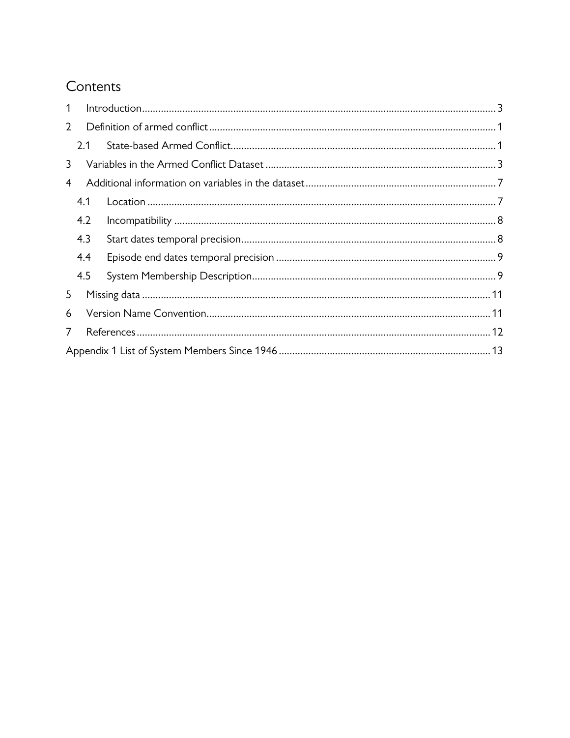## Contents

| 1              |     |  |  |  |  |
|----------------|-----|--|--|--|--|
| $\overline{2}$ |     |  |  |  |  |
|                | 2.1 |  |  |  |  |
| 3              |     |  |  |  |  |
| 4              |     |  |  |  |  |
|                | 4.1 |  |  |  |  |
|                | 4.2 |  |  |  |  |
|                | 4.3 |  |  |  |  |
|                | 4.4 |  |  |  |  |
|                | 4.5 |  |  |  |  |
| 5              |     |  |  |  |  |
| 6              |     |  |  |  |  |
| 7              |     |  |  |  |  |
|                |     |  |  |  |  |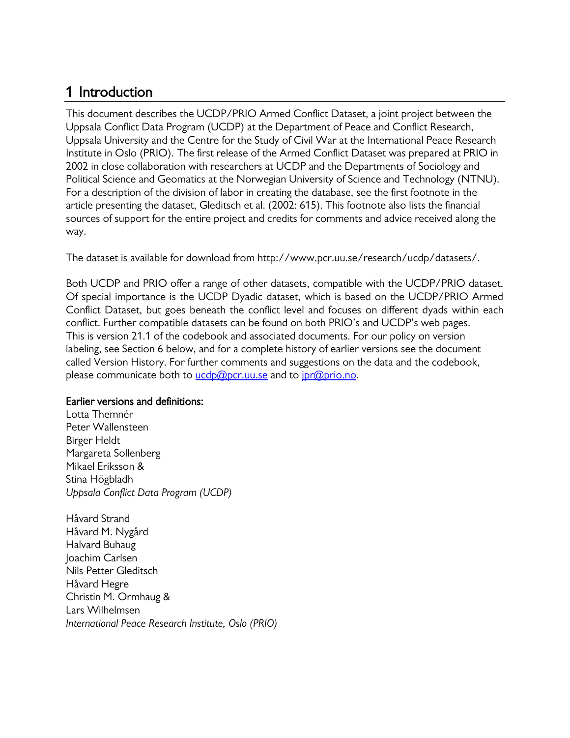### <span id="page-2-0"></span>1 Introduction

This document describes the UCDP/PRIO Armed Conflict Dataset, a joint project between the Uppsala Conflict Data Program (UCDP) at the Department of Peace and Conflict Research, Uppsala University and the Centre for the Study of Civil War at the International Peace Research Institute in Oslo (PRIO). The first release of the Armed Conflict Dataset was prepared at PRIO in 2002 in close collaboration with researchers at UCDP and the Departments of Sociology and Political Science and Geomatics at the Norwegian University of Science and Technology (NTNU). For a description of the division of labor in creating the database, see the first footnote in the article presenting the dataset, Gleditsch et al. (2002: 615). This footnote also lists the financial sources of support for the entire project and credits for comments and advice received along the way.

The dataset is available for download from http://www.pcr.uu.se/research/ucdp/datasets/.

Both UCDP and PRIO offer a range of other datasets, compatible with the UCDP/PRIO dataset. Of special importance is the UCDP Dyadic dataset, which is based on the UCDP/PRIO Armed Conflict Dataset, but goes beneath the conflict level and focuses on different dyads within each conflict. Further compatible datasets can be found on both PRIO's and UCDP's web pages. This is version 21.1 of the codebook and associated documents. For our policy on version labeling, see Section [6](#page-13-1) below, and for a complete history of earlier versions see the document called Version History. For further comments and suggestions on the data and the codebook, please communicate both to  $ucdp@per.uu.se$  and to  $ipr@prio.no$ .

#### Earlier versions and definitions:

Lotta Themnér Peter Wallensteen Birger Heldt Margareta Sollenberg Mikael Eriksson & Stina Högbladh *Uppsala Conflict Data Program (UCDP)*

Håvard Strand Håvard M. Nygård Halvard Buhaug Joachim Carlsen Nils Petter Gleditsch Håvard Hegre Christin M. Ormhaug & Lars Wilhelmsen *International Peace Research Institute, Oslo (PRIO)*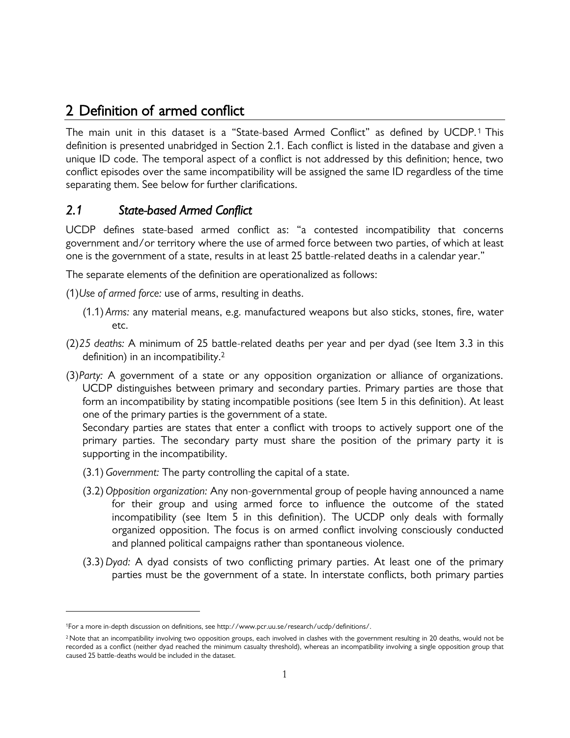### <span id="page-3-0"></span>2 Definition of armed conflict

The main unit in this dataset is a "State-based Armed Conflict" as defined by UCDP.<sup>1</sup> This definition is presented unabridged in Section 2.1. Each conflict is listed in the database and given a unique ID code. The temporal aspect of a conflict is not addressed by this definition; hence, two conflict episodes over the same incompatibility will be assigned the same ID regardless of the time separating them. See below for further clarifications.

### <span id="page-3-1"></span>*2.1 State-based Armed Conflict*

UCDP defines state-based armed conflict as: "a contested incompatibility that concerns government and/or territory where the use of armed force between two parties, of which at least one is the government of a state, results in at least 25 battle-related deaths in a calendar year."

The separate elements of the definition are operationalized as follows:

(1)*Use of armed force:* use of arms, resulting in deaths.

- (1.1) *Arms:* any material means, e.g. manufactured weapons but also sticks, stones, fire, water etc.
- (2)*25 deaths:* A minimum of 25 battle-related deaths per year and per dyad (see Item 3.3 in this definition) in an incompatibility.<sup>2</sup>
- (3)*Party:* A government of a state or any opposition organization or alliance of organizations. UCDP distinguishes between primary and secondary parties. Primary parties are those that form an incompatibility by stating incompatible positions (see Item 5 in this definition). At least one of the primary parties is the government of a state.

Secondary parties are states that enter a conflict with troops to actively support one of the primary parties. The secondary party must share the position of the primary party it is supporting in the incompatibility.

- (3.1)*Government:* The party controlling the capital of a state.
- (3.2)*Opposition organization:* Any non-governmental group of people having announced a name for their group and using armed force to influence the outcome of the stated incompatibility (see Item 5 in this definition). The UCDP only deals with formally organized opposition. The focus is on armed conflict involving consciously conducted and planned political campaigns rather than spontaneous violence.
- (3.3)*Dyad:* A dyad consists of two conflicting primary parties. At least one of the primary parties must be the government of a state. In interstate conflicts, both primary parties

<sup>1</sup>For a more in-depth discussion on definitions, see http://www.pcr.uu.se/research/ucdp/definitions/.

<sup>&</sup>lt;sup>2</sup> Note that an incompatibility involving two opposition groups, each involved in clashes with the government resulting in 20 deaths, would not be recorded as a conflict (neither dyad reached the minimum casualty threshold), whereas an incompatibility involving a single opposition group that caused 25 battle-deaths would be included in the dataset.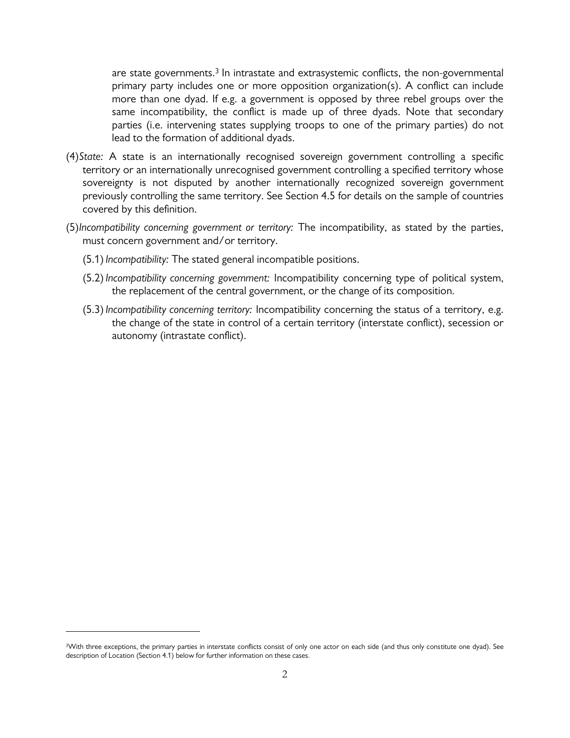are state governments.<sup>3</sup> In intrastate and extrasystemic conflicts, the non-governmental primary party includes one or more opposition organization(s). A conflict can include more than one dyad. If e.g. a government is opposed by three rebel groups over the same incompatibility, the conflict is made up of three dyads. Note that secondary parties (i.e. intervening states supplying troops to one of the primary parties) do not lead to the formation of additional dyads.

- (4)*State:* A state is an internationally recognised sovereign government controlling a specific territory or an internationally unrecognised government controlling a specified territory whose sovereignty is not disputed by another internationally recognized sovereign government previously controlling the same territory. See Section [4.5](#page-11-1) for details on the sample of countries covered by this definition.
- (5)*Incompatibility concerning government or territory:* The incompatibility, as stated by the parties, must concern government and/or territory.
	- (5.1)*Incompatibility:* The stated general incompatible positions.
	- (5.2)*Incompatibility concerning government:* Incompatibility concerning type of political system, the replacement of the central government, or the change of its composition.
	- (5.3)*Incompatibility concerning territory:* Incompatibility concerning the status of a territory, e.g. the change of the state in control of a certain territory (interstate conflict), secession or autonomy (intrastate conflict).

<sup>&</sup>lt;sup>3</sup>With three exceptions, the primary parties in interstate conflicts consist of only one actor on each side (and thus only constitute one dyad). See description of Location (Section 4.1) below for further information on these cases.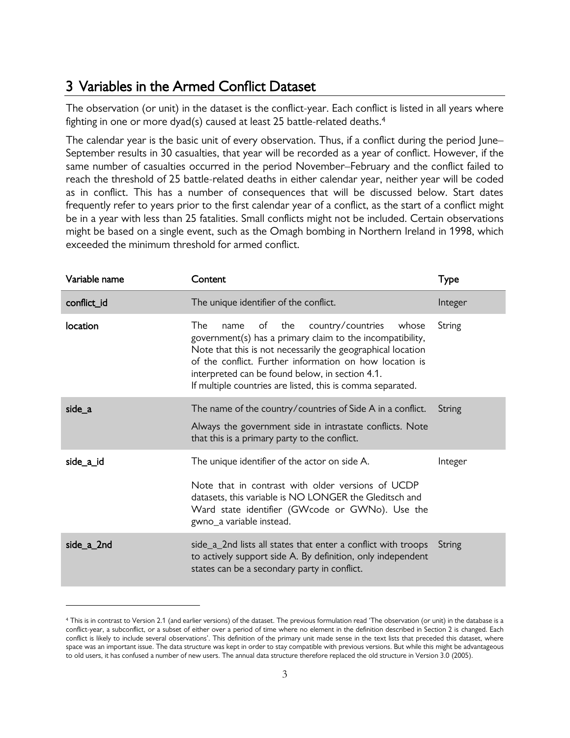#### <span id="page-5-0"></span>3 Variables in the Armed Conflict Dataset

The observation (or unit) in the dataset is the conflict-year. Each conflict is listed in all years where fighting in one or more dyad(s) caused at least 25 battle-related deaths. 4

The calendar year is the basic unit of every observation. Thus, if a conflict during the period June– September results in 30 casualties, that year will be recorded as a year of conflict. However, if the same number of casualties occurred in the period November–February and the conflict failed to reach the threshold of 25 battle-related deaths in either calendar year, neither year will be coded as in conflict. This has a number of consequences that will be discussed below. Start dates frequently refer to years prior to the first calendar year of a conflict, as the start of a conflict might be in a year with less than 25 fatalities. Small conflicts might not be included. Certain observations might be based on a single event, such as the Omagh bombing in Northern Ireland in 1998, which exceeded the minimum threshold for armed conflict.

| Variable name | Content                                                                                                                                                                                                                                                                                                                                                        | Type    |
|---------------|----------------------------------------------------------------------------------------------------------------------------------------------------------------------------------------------------------------------------------------------------------------------------------------------------------------------------------------------------------------|---------|
| conflict_id   | The unique identifier of the conflict.                                                                                                                                                                                                                                                                                                                         | Integer |
| location      | The<br>the<br>country/countries<br>of<br>whose<br>name<br>government(s) has a primary claim to the incompatibility,<br>Note that this is not necessarily the geographical location<br>of the conflict. Further information on how location is<br>interpreted can be found below, in section 4.1.<br>If multiple countries are listed, this is comma separated. | String  |
| side_a        | The name of the country/countries of Side A in a conflict.<br>Always the government side in intrastate conflicts. Note<br>that this is a primary party to the conflict.                                                                                                                                                                                        | String  |
| side_a_id     | The unique identifier of the actor on side A.<br>Note that in contrast with older versions of UCDP<br>datasets, this variable is NO LONGER the Gleditsch and<br>Ward state identifier (GWcode or GWNo). Use the<br>gwno_a variable instead.                                                                                                                    | Integer |
| side a 2nd    | side_a_2nd lists all states that enter a conflict with troops<br>to actively support side A. By definition, only independent<br>states can be a secondary party in conflict.                                                                                                                                                                                   | String  |

<sup>4</sup> This is in contrast to Version 2.1 (and earlier versions) of the dataset. The previous formulation read 'The observation (or unit) in the database is a conflict-year, a subconflict, or a subset of either over a period of time where no element in the definition described in Section 2 is changed. Each conflict is likely to include several observations'. This definition of the primary unit made sense in the text lists that preceded this dataset, where space was an important issue. The data structure was kept in order to stay compatible with previous versions. But while this might be advantageous to old users, it has confused a number of new users. The annual data structure therefore replaced the old structure in Version 3.0 (2005).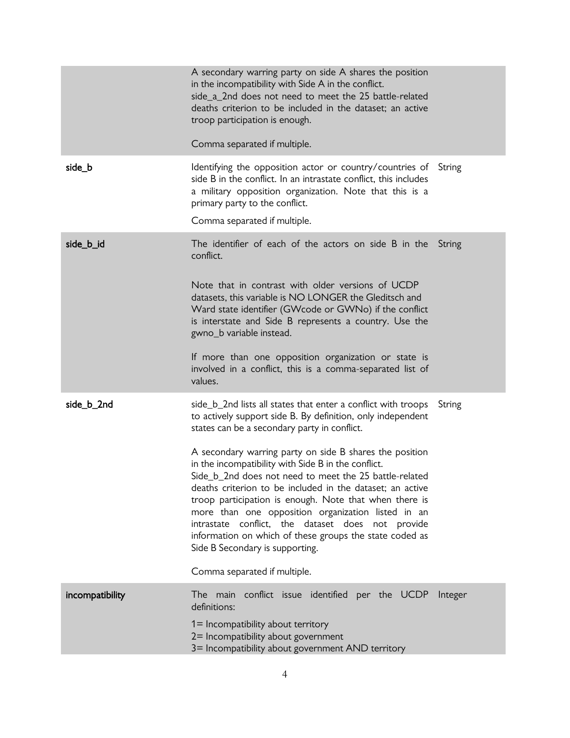|                 | A secondary warring party on side A shares the position<br>in the incompatibility with Side A in the conflict.<br>side_a_2nd does not need to meet the 25 battle-related<br>deaths criterion to be included in the dataset; an active<br>troop participation is enough.<br>Comma separated if multiple.                                                                                                                                                                                                  |        |
|-----------------|----------------------------------------------------------------------------------------------------------------------------------------------------------------------------------------------------------------------------------------------------------------------------------------------------------------------------------------------------------------------------------------------------------------------------------------------------------------------------------------------------------|--------|
| side_b          | Identifying the opposition actor or country/countries of String                                                                                                                                                                                                                                                                                                                                                                                                                                          |        |
|                 | side B in the conflict. In an intrastate conflict, this includes<br>a military opposition organization. Note that this is a<br>primary party to the conflict.<br>Comma separated if multiple.                                                                                                                                                                                                                                                                                                            |        |
|                 |                                                                                                                                                                                                                                                                                                                                                                                                                                                                                                          |        |
| side_b_id       | The identifier of each of the actors on side B in the String<br>conflict.<br>Note that in contrast with older versions of UCDP                                                                                                                                                                                                                                                                                                                                                                           |        |
|                 | datasets, this variable is NO LONGER the Gleditsch and<br>Ward state identifier (GWcode or GWNo) if the conflict<br>is interstate and Side B represents a country. Use the<br>gwno_b variable instead.                                                                                                                                                                                                                                                                                                   |        |
|                 | If more than one opposition organization or state is<br>involved in a conflict, this is a comma-separated list of<br>values.                                                                                                                                                                                                                                                                                                                                                                             |        |
| side_b_2nd      | side_b_2nd lists all states that enter a conflict with troops<br>to actively support side B. By definition, only independent<br>states can be a secondary party in conflict.                                                                                                                                                                                                                                                                                                                             | String |
|                 | A secondary warring party on side B shares the position<br>in the incompatibility with Side B in the conflict.<br>Side_b_2nd does not need to meet the 25 battle-related<br>deaths criterion to be included in the dataset; an active<br>troop participation is enough. Note that when there is<br>more than one opposition organization listed in an<br>intrastate conflict, the dataset does not provide<br>information on which of these groups the state coded as<br>Side B Secondary is supporting. |        |
|                 | Comma separated if multiple.                                                                                                                                                                                                                                                                                                                                                                                                                                                                             |        |
| incompatibility | The main conflict issue identified per the UCDP Integer<br>definitions:                                                                                                                                                                                                                                                                                                                                                                                                                                  |        |
|                 | 1= Incompatibility about territory<br>2= Incompatibility about government<br>3= Incompatibility about government AND territory                                                                                                                                                                                                                                                                                                                                                                           |        |
|                 |                                                                                                                                                                                                                                                                                                                                                                                                                                                                                                          |        |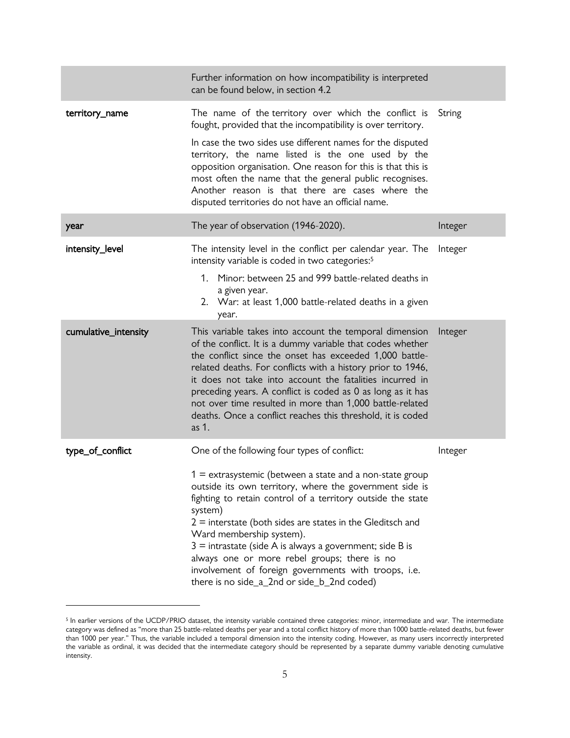|                      | Further information on how incompatibility is interpreted<br>can be found below, in section 4.2                                                                                                                                                                                                                                                                                                                                                                                                                  |         |
|----------------------|------------------------------------------------------------------------------------------------------------------------------------------------------------------------------------------------------------------------------------------------------------------------------------------------------------------------------------------------------------------------------------------------------------------------------------------------------------------------------------------------------------------|---------|
| territory_name       | The name of the territory over which the conflict is<br>fought, provided that the incompatibility is over territory.                                                                                                                                                                                                                                                                                                                                                                                             | String  |
|                      | In case the two sides use different names for the disputed<br>territory, the name listed is the one used by the<br>opposition organisation. One reason for this is that this is<br>most often the name that the general public recognises.<br>Another reason is that there are cases where the<br>disputed territories do not have an official name.                                                                                                                                                             |         |
| year                 | The year of observation (1946-2020).                                                                                                                                                                                                                                                                                                                                                                                                                                                                             | Integer |
| intensity_level      | The intensity level in the conflict per calendar year. The<br>intensity variable is coded in two categories: <sup>5</sup>                                                                                                                                                                                                                                                                                                                                                                                        | Integer |
|                      | 1. Minor: between 25 and 999 battle-related deaths in<br>a given year.<br>2. War: at least 1,000 battle-related deaths in a given<br>year.                                                                                                                                                                                                                                                                                                                                                                       |         |
| cumulative_intensity | This variable takes into account the temporal dimension<br>of the conflict. It is a dummy variable that codes whether<br>the conflict since the onset has exceeded 1,000 battle-<br>related deaths. For conflicts with a history prior to 1946,<br>it does not take into account the fatalities incurred in<br>preceding years. A conflict is coded as 0 as long as it has<br>not over time resulted in more than 1,000 battle-related<br>deaths. Once a conflict reaches this threshold, it is coded<br>as 1.   | Integer |
| type_of_conflict     | One of the following four types of conflict:                                                                                                                                                                                                                                                                                                                                                                                                                                                                     | Integer |
|                      | $1 =$ extrasystemic (between a state and a non-state group<br>outside its own territory, where the government side is<br>fighting to retain control of a territory outside the state<br>system)<br>$2$ = interstate (both sides are states in the Gleditsch and<br>Ward membership system).<br>$3$ = intrastate (side A is always a government; side B is<br>always one or more rebel groups; there is no<br>involvement of foreign governments with troops, i.e.<br>there is no side_a_2nd or side_b_2nd coded) |         |

<sup>&</sup>lt;sup>5</sup> In earlier versions of the UCDP/PRIO dataset, the intensity variable contained three categories: minor, intermediate and war. The intermediate category was defined as "more than 25 battle-related deaths per year and a total conflict history of more than 1000 battle-related deaths, but fewer than 1000 per year." Thus, the variable included a temporal dimension into the intensity coding. However, as many users incorrectly interpreted the variable as ordinal, it was decided that the intermediate category should be represented by a separate dummy variable denoting cumulative intensity.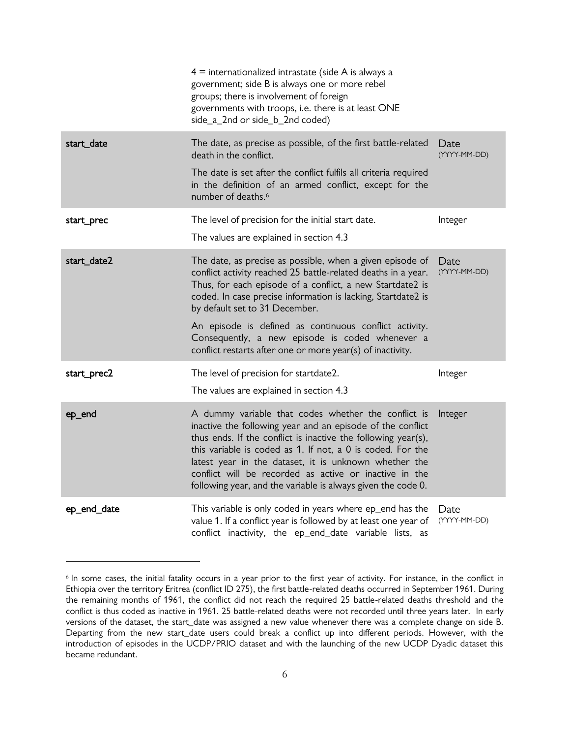|                                                                                                                                                                                                                                                                       | $4$ = internationalized intrastate (side A is always a<br>government; side B is always one or more rebel<br>groups; there is involvement of foreign<br>governments with troops, i.e. there is at least ONE<br>side_a_2nd or side_b_2nd coded)                                                                                                                                                                                                                        |                      |
|-----------------------------------------------------------------------------------------------------------------------------------------------------------------------------------------------------------------------------------------------------------------------|----------------------------------------------------------------------------------------------------------------------------------------------------------------------------------------------------------------------------------------------------------------------------------------------------------------------------------------------------------------------------------------------------------------------------------------------------------------------|----------------------|
| start_date<br>The date, as precise as possible, of the first battle-related<br>death in the conflict.<br>The date is set after the conflict fulfils all criteria required<br>in the definition of an armed conflict, except for the<br>number of deaths. <sup>6</sup> |                                                                                                                                                                                                                                                                                                                                                                                                                                                                      | Date<br>(YYYY-MM-DD) |
| start_prec                                                                                                                                                                                                                                                            | The level of precision for the initial start date.<br>The values are explained in section 4.3                                                                                                                                                                                                                                                                                                                                                                        | Integer              |
| start_date2                                                                                                                                                                                                                                                           | The date, as precise as possible, when a given episode of<br>conflict activity reached 25 battle-related deaths in a year.<br>Thus, for each episode of a conflict, a new Startdate2 is<br>coded. In case precise information is lacking, Startdate2 is<br>by default set to 31 December.<br>An episode is defined as continuous conflict activity.<br>Consequently, a new episode is coded whenever a<br>conflict restarts after one or more year(s) of inactivity. | Date<br>(YYYY-MM-DD) |
| start_prec2                                                                                                                                                                                                                                                           | The level of precision for startdate2.<br>The values are explained in section 4.3                                                                                                                                                                                                                                                                                                                                                                                    | Integer              |
| ep_end                                                                                                                                                                                                                                                                | A dummy variable that codes whether the conflict is<br>inactive the following year and an episode of the conflict<br>thus ends. If the conflict is inactive the following year(s),<br>this variable is coded as 1. If not, a 0 is coded. For the<br>latest year in the dataset, it is unknown whether the<br>conflict will be recorded as active or inactive in the<br>following year, and the variable is always given the code 0.                                  | Integer              |
| ep_end_date                                                                                                                                                                                                                                                           | This variable is only coded in years where ep_end has the<br>value 1. If a conflict year is followed by at least one year of<br>conflict inactivity, the ep_end_date variable lists, as                                                                                                                                                                                                                                                                              | Date<br>(YYYY-MM-DD) |

<sup>6</sup> In some cases, the initial fatality occurs in a year prior to the first year of activity. For instance, in the conflict in Ethiopia over the territory Eritrea (conflict ID 275), the first battle-related deaths occurred in September 1961. During the remaining months of 1961, the conflict did not reach the required 25 battle-related deaths threshold and the conflict is thus coded as inactive in 1961. 25 battle-related deaths were not recorded until three years later. In early versions of the dataset, the start\_date was assigned a new value whenever there was a complete change on side B. Departing from the new start\_date users could break a conflict up into different periods. However, with the introduction of episodes in the UCDP/PRIO dataset and with the launching of the new UCDP Dyadic dataset this became redundant.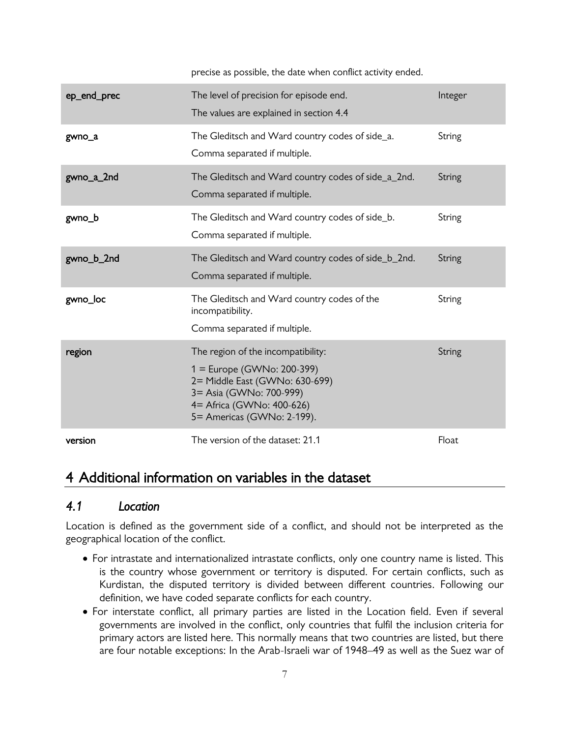precise as possible, the date when conflict activity ended.

| ep_end_prec | The level of precision for episode end.<br>The values are explained in section 4.4                                                                                                          | Integer |
|-------------|---------------------------------------------------------------------------------------------------------------------------------------------------------------------------------------------|---------|
| gwno_a      | The Gleditsch and Ward country codes of side_a.<br>Comma separated if multiple.                                                                                                             | String  |
| gwno_a_2nd  | The Gleditsch and Ward country codes of side_a_2nd.<br>Comma separated if multiple.                                                                                                         | String  |
| gwno_b      | The Gleditsch and Ward country codes of side_b.<br>Comma separated if multiple.                                                                                                             | String  |
| gwno_b_2nd  | The Gleditsch and Ward country codes of side_b_2nd.<br>Comma separated if multiple.                                                                                                         | String  |
| gwno_loc    | The Gleditsch and Ward country codes of the<br>incompatibility.<br>Comma separated if multiple.                                                                                             | String  |
| region      | The region of the incompatibility:<br>1 = Europe (GWNo: 200-399)<br>2= Middle East (GWNo: 630-699)<br>3 = Asia (GWNo: 700-999)<br>4 = Africa (GWNo: 400-626)<br>5 = Americas (GWNo: 2-199). | String  |
| version     | The version of the dataset: 21.1                                                                                                                                                            | Float   |

### <span id="page-9-0"></span>4 Additional information on variables in the dataset

#### <span id="page-9-1"></span>*4.1 Location*

Location is defined as the government side of a conflict, and should not be interpreted as the geographical location of the conflict.

- For intrastate and internationalized intrastate conflicts, only one country name is listed. This is the country whose government or territory is disputed. For certain conflicts, such as Kurdistan, the disputed territory is divided between different countries. Following our definition, we have coded separate conflicts for each country.
- For interstate conflict, all primary parties are listed in the Location field. Even if several governments are involved in the conflict, only countries that fulfil the inclusion criteria for primary actors are listed here. This normally means that two countries are listed, but there are four notable exceptions: In the Arab-Israeli war of 1948–49 as well as the Suez war of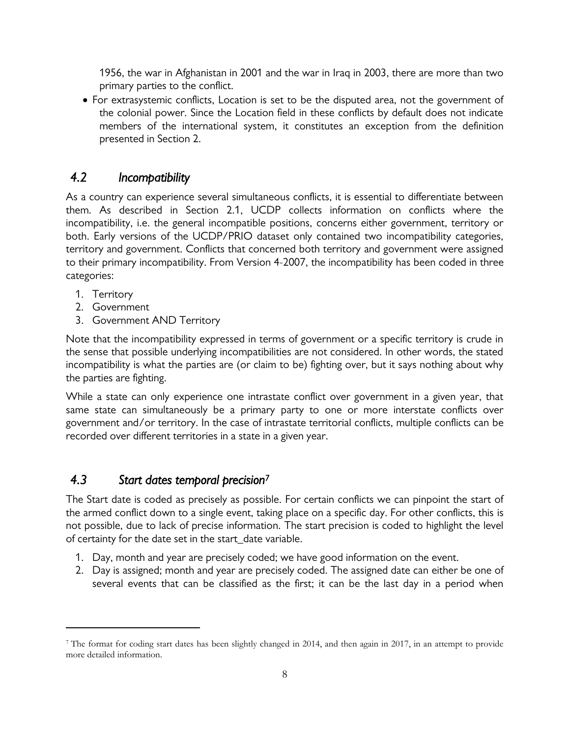1956, the war in Afghanistan in 2001 and the war in Iraq in 2003, there are more than two primary parties to the conflict.

 For extrasystemic conflicts, Location is set to be the disputed area, not the government of the colonial power. Since the Location field in these conflicts by default does not indicate members of the international system, it constitutes an exception from the definition presented in Section [2.](#page-3-0)

#### <span id="page-10-0"></span>*4.2 Incompatibility*

As a country can experience several simultaneous conflicts, it is essential to differentiate between them. As described in Section [2.1,](#page-3-1) UCDP collects information on conflicts where the incompatibility, i.e. the general incompatible positions, concerns either government, territory or both. Early versions of the UCDP/PRIO dataset only contained two incompatibility categories, territory and government. Conflicts that concerned both territory and government were assigned to their primary incompatibility. From Version 4-2007, the incompatibility has been coded in three categories:

1. Territory

 $\overline{a}$ 

- 2. Government
- 3. Government AND Territory

Note that the incompatibility expressed in terms of government or a specific territory is crude in the sense that possible underlying incompatibilities are not considered. In other words, the stated incompatibility is what the parties are (or claim to be) fighting over, but it says nothing about why the parties are fighting.

While a state can only experience one intrastate conflict over government in a given year, that same state can simultaneously be a primary party to one or more interstate conflicts over government and/or territory. In the case of intrastate territorial conflicts, multiple conflicts can be recorded over different territories in a state in a given year.

#### <span id="page-10-1"></span>*4.3 Start dates temporal precision<sup>7</sup>*

The Start date is coded as precisely as possible. For certain conflicts we can pinpoint the start of the armed conflict down to a single event, taking place on a specific day. For other conflicts, this is not possible, due to lack of precise information. The start precision is coded to highlight the level of certainty for the date set in the start\_date variable.

- 1. Day, month and year are precisely coded; we have good information on the event.
- 2. Day is assigned; month and year are precisely coded. The assigned date can either be one of several events that can be classified as the first; it can be the last day in a period when

<sup>7</sup> The format for coding start dates has been slightly changed in 2014, and then again in 2017, in an attempt to provide more detailed information.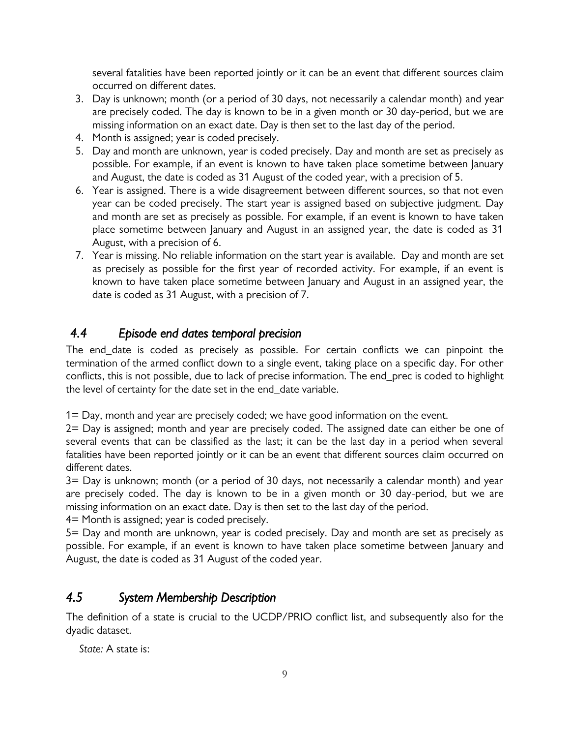several fatalities have been reported jointly or it can be an event that different sources claim occurred on different dates.

- 3. Day is unknown; month (or a period of 30 days, not necessarily a calendar month) and year are precisely coded. The day is known to be in a given month or 30 day-period, but we are missing information on an exact date. Day is then set to the last day of the period.
- 4. Month is assigned; year is coded precisely.
- 5. Day and month are unknown, year is coded precisely. Day and month are set as precisely as possible. For example, if an event is known to have taken place sometime between January and August, the date is coded as 31 August of the coded year, with a precision of 5.
- 6. Year is assigned. There is a wide disagreement between different sources, so that not even year can be coded precisely. The start year is assigned based on subjective judgment. Day and month are set as precisely as possible. For example, if an event is known to have taken place sometime between January and August in an assigned year, the date is coded as 31 August, with a precision of 6.
- 7. Year is missing. No reliable information on the start year is available. Day and month are set as precisely as possible for the first year of recorded activity. For example, if an event is known to have taken place sometime between January and August in an assigned year, the date is coded as 31 August, with a precision of 7.

### <span id="page-11-0"></span>*4.4 Episode end dates temporal precision*

The end\_date is coded as precisely as possible. For certain conflicts we can pinpoint the termination of the armed conflict down to a single event, taking place on a specific day. For other conflicts, this is not possible, due to lack of precise information. The end\_prec is coded to highlight the level of certainty for the date set in the end\_date variable.

1= Day, month and year are precisely coded; we have good information on the event.

2= Day is assigned; month and year are precisely coded. The assigned date can either be one of several events that can be classified as the last; it can be the last day in a period when several fatalities have been reported jointly or it can be an event that different sources claim occurred on different dates.

3= Day is unknown; month (or a period of 30 days, not necessarily a calendar month) and year are precisely coded. The day is known to be in a given month or 30 day-period, but we are missing information on an exact date. Day is then set to the last day of the period.

4= Month is assigned; year is coded precisely.

5= Day and month are unknown, year is coded precisely. Day and month are set as precisely as possible. For example, if an event is known to have taken place sometime between January and August, the date is coded as 31 August of the coded year.

#### <span id="page-11-1"></span>*4.5 System Membership Description*

The definition of a state is crucial to the UCDP/PRIO conflict list, and subsequently also for the dyadic dataset.

*State:* A state is: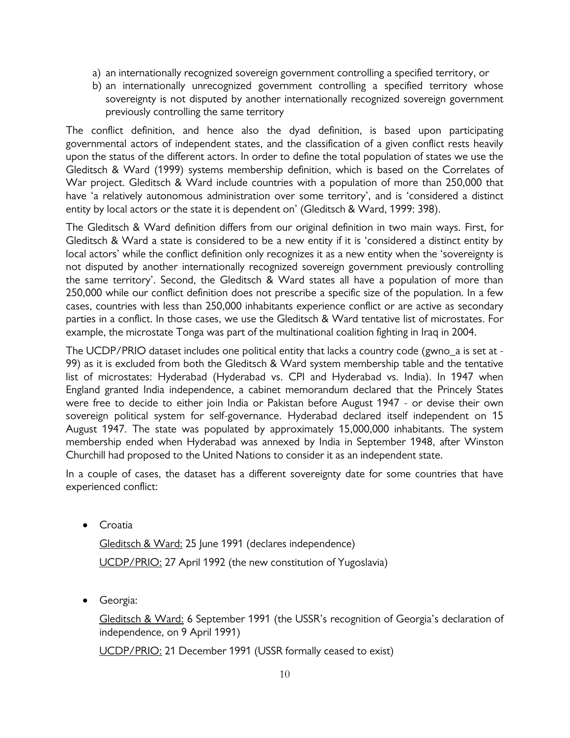- a) an internationally recognized sovereign government controlling a specified territory, or
- b) an internationally unrecognized government controlling a specified territory whose sovereignty is not disputed by another internationally recognized sovereign government previously controlling the same territory

The conflict definition, and hence also the dyad definition, is based upon participating governmental actors of independent states, and the classification of a given conflict rests heavily upon the status of the different actors. In order to define the total population of states we use the Gleditsch & Ward (1999) systems membership definition, which is based on the Correlates of War project. Gleditsch & Ward include countries with a population of more than 250,000 that have 'a relatively autonomous administration over some territory', and is 'considered a distinct entity by local actors or the state it is dependent on' (Gleditsch & Ward, 1999: 398).

The Gleditsch & Ward definition differs from our original definition in two main ways. First, for Gleditsch & Ward a state is considered to be a new entity if it is 'considered a distinct entity by local actors' while the conflict definition only recognizes it as a new entity when the 'sovereignty is not disputed by another internationally recognized sovereign government previously controlling the same territory'. Second, the Gleditsch & Ward states all have a population of more than 250,000 while our conflict definition does not prescribe a specific size of the population. In a few cases, countries with less than 250,000 inhabitants experience conflict or are active as secondary parties in a conflict. In those cases, we use the Gleditsch & Ward tentative list of microstates. For example, the microstate Tonga was part of the multinational coalition fighting in Iraq in 2004.

The UCDP/PRIO dataset includes one political entity that lacks a country code (gwno a is set at -99) as it is excluded from both the Gleditsch & Ward system membership table and the tentative list of microstates: Hyderabad (Hyderabad vs. CPI and Hyderabad vs. India). In 1947 when England granted India independence, a cabinet memorandum declared that the Princely States were free to decide to either join India or Pakistan before August 1947 - or devise their own sovereign political system for self-governance. Hyderabad declared itself independent on 15 August 1947. The state was populated by approximately 15,000,000 inhabitants. The system membership ended when Hyderabad was annexed by India in September 1948, after Winston Churchill had proposed to the United Nations to consider it as an independent state.

In a couple of cases, the dataset has a different sovereignty date for some countries that have experienced conflict:

**•** Croatia

Gleditsch & Ward: 25 June 1991 (declares independence) UCDP/PRIO: 27 April 1992 (the new constitution of Yugoslavia)

Georgia:

Gleditsch & Ward: 6 September 1991 (the USSR's recognition of Georgia's declaration of independence, on 9 April 1991)

UCDP/PRIO: 21 December 1991 (USSR formally ceased to exist)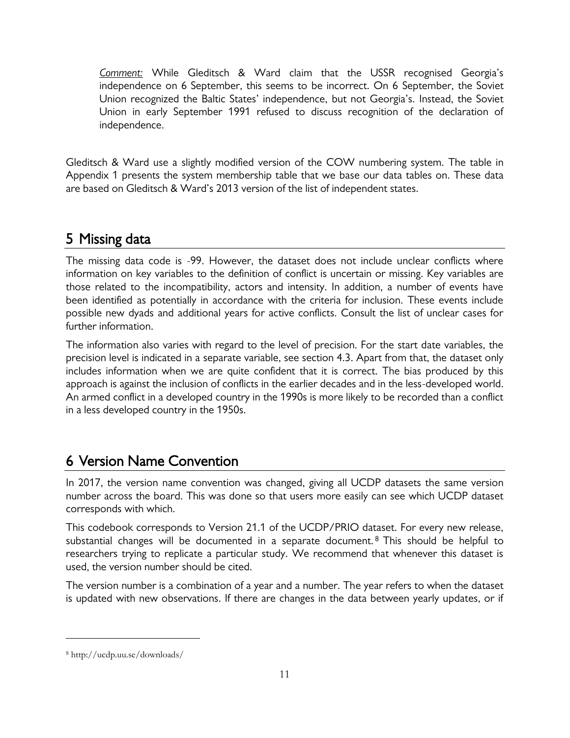*Comment:* While Gleditsch & Ward claim that the USSR recognised Georgia's independence on 6 September, this seems to be incorrect. On 6 September, the Soviet Union recognized the Baltic States' independence, but not Georgia's. Instead, the Soviet Union in early September 1991 refused to discuss recognition of the declaration of independence.

Gleditsch & Ward use a slightly modified version of the COW numbering system. The table in Appendix 1 presents the system membership table that we base our data tables on. These data are based on Gleditsch & Ward's 2013 version of the list of independent states.

### <span id="page-13-0"></span>5 Missing data

The missing data code is -99. However, the dataset does not include unclear conflicts where information on key variables to the definition of conflict is uncertain or missing. Key variables are those related to the incompatibility, actors and intensity. In addition, a number of events have been identified as potentially in accordance with the criteria for inclusion. These events include possible new dyads and additional years for active conflicts. Consult the list of unclear cases for further information.

The information also varies with regard to the level of precision. For the start date variables, the precision level is indicated in a separate variable, see section 4.3. Apart from that, the dataset only includes information when we are quite confident that it is correct. The bias produced by this approach is against the inclusion of conflicts in the earlier decades and in the less-developed world. An armed conflict in a developed country in the 1990s is more likely to be recorded than a conflict in a less developed country in the 1950s.

## <span id="page-13-1"></span>6 Version Name Convention

In 2017, the version name convention was changed, giving all UCDP datasets the same version number across the board. This was done so that users more easily can see which UCDP dataset corresponds with which.

This codebook corresponds to Version 21.1 of the UCDP/PRIO dataset. For every new release, substantial changes will be documented in a separate document.<sup>8</sup> This should be helpful to researchers trying to replicate a particular study. We recommend that whenever this dataset is used, the version number should be cited.

The version number is a combination of a year and a number. The year refers to when the dataset is updated with new observations. If there are changes in the data between yearly updates, or if

<sup>8</sup> http://ucdp.uu.se/downloads/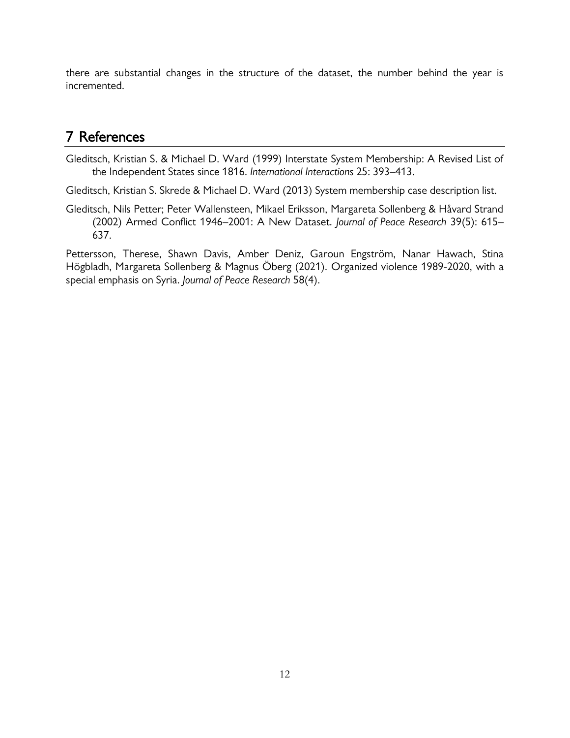there are substantial changes in the structure of the dataset, the number behind the year is incremented.

### <span id="page-14-0"></span>7 References

Gleditsch, Kristian S. & Michael D. Ward (1999) Interstate System Membership: A Revised List of the Independent States since 1816. *International Interactions* 25: 393–413.

Gleditsch, Kristian S. Skrede & Michael D. Ward (2013) System membership case description list.

Gleditsch, Nils Petter; Peter Wallensteen, Mikael Eriksson, Margareta Sollenberg & Håvard Strand (2002) Armed Conflict 1946–2001: A New Dataset. *Journal of Peace Research* 39(5): 615– 637.

Pettersson, Therese, Shawn Davis, Amber Deniz, Garoun Engström, Nanar Hawach, Stina Högbladh, Margareta Sollenberg & Magnus Öberg (2021). Organized violence 1989-2020, with a special emphasis on Syria. *Journal of Peace Research* 58(4).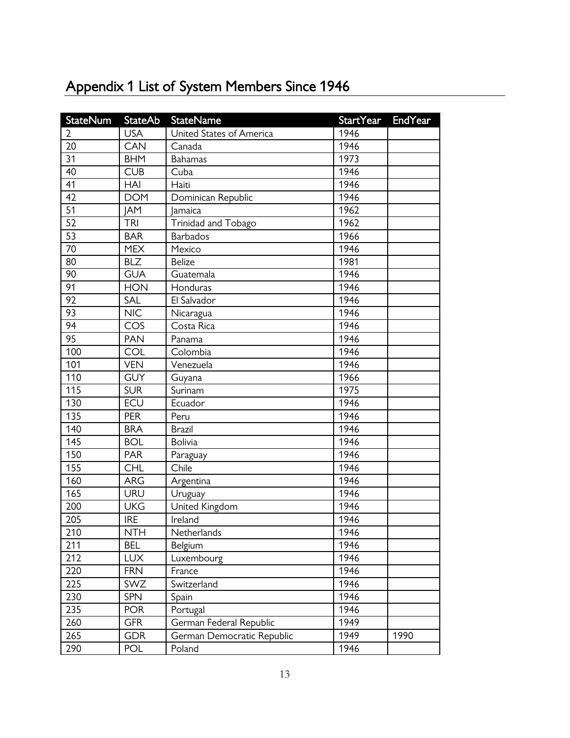| StateNum         | <b>StateAb</b> | <b>StateName</b>           | <b>StartYear</b> | <b>EndYear</b> |
|------------------|----------------|----------------------------|------------------|----------------|
| $\overline{2}$   | <b>USA</b>     | United States of America   | 1946             |                |
| 20               | <b>CAN</b>     | Canada                     | 1946             |                |
| 31               | <b>BHM</b>     | <b>Bahamas</b>             | 1973             |                |
| 40               | <b>CUB</b>     | Cuba                       | 1946             |                |
| 41               | HAI            | Haiti                      | 1946             |                |
| 42               | <b>DOM</b>     | Dominican Republic         | 1946             |                |
| 51               | <b>JAM</b>     | <b>Jamaica</b>             | 1962             |                |
| 52               | <b>TRI</b>     | Trinidad and Tobago        | 1962             |                |
| 53               | <b>BAR</b>     | <b>Barbados</b>            | 1966             |                |
| 70               | <b>MEX</b>     | Mexico                     | 1946             |                |
| 80               | <b>BLZ</b>     | <b>Belize</b>              | 1981             |                |
| 90               | <b>GUA</b>     | Guatemala                  | 1946             |                |
| 91               | <b>HON</b>     | Honduras                   | 1946             |                |
| 92               | SAL            | El Salvador                | 1946             |                |
| 93               | <b>NIC</b>     | Nicaragua                  | 1946             |                |
| 94               | COS            | Costa Rica                 | 1946             |                |
| 95               | <b>PAN</b>     | Panama                     | 1946             |                |
| 100              | COL            | Colombia                   | 1946             |                |
| 101              | <b>VEN</b>     | Venezuela                  | 1946             |                |
| 110              | <b>GUY</b>     | Guyana                     | 1966             |                |
| 115              | <b>SUR</b>     | Surinam                    | 1975             |                |
| 130              | ECU            | Ecuador                    | 1946             |                |
| 135              | <b>PER</b>     | Peru                       | 1946             |                |
| 140              | <b>BRA</b>     | <b>Brazil</b>              | 1946             |                |
| $\overline{145}$ | <b>BOL</b>     | <b>Bolivia</b>             | 1946             |                |
| 150              | <b>PAR</b>     | Paraguay                   | 1946             |                |
| 155              | <b>CHL</b>     | Chile                      | 1946             |                |
| 160              | <b>ARG</b>     | Argentina                  | 1946             |                |
| 165              | URU            | Uruguay                    | 1946             |                |
| 200              | <b>UKG</b>     | United Kingdom             | 1946             |                |
| 205              | <b>IRE</b>     | Ireland                    | 1946             |                |
| 210              | <b>NTH</b>     | Netherlands                | 1946             |                |
| 211              | <b>BEL</b>     | Belgium                    | 1946             |                |
| 212              | <b>LUX</b>     | Luxembourg                 | 1946             |                |
| 220              | <b>FRN</b>     | France                     | 1946             |                |
| 225              | SWZ            | Switzerland                | 1946             |                |
| 230              | <b>SPN</b>     | Spain                      | 1946             |                |
| 235              | <b>POR</b>     | Portugal                   | 1946             |                |
| 260              | <b>GFR</b>     | German Federal Republic    | 1949             |                |
| 265              | <b>GDR</b>     | German Democratic Republic | 1949             | 1990           |
| 290              | <b>POL</b>     | Poland                     | 1946             |                |

# <span id="page-15-0"></span>Appendix 1 List of System Members Since 1946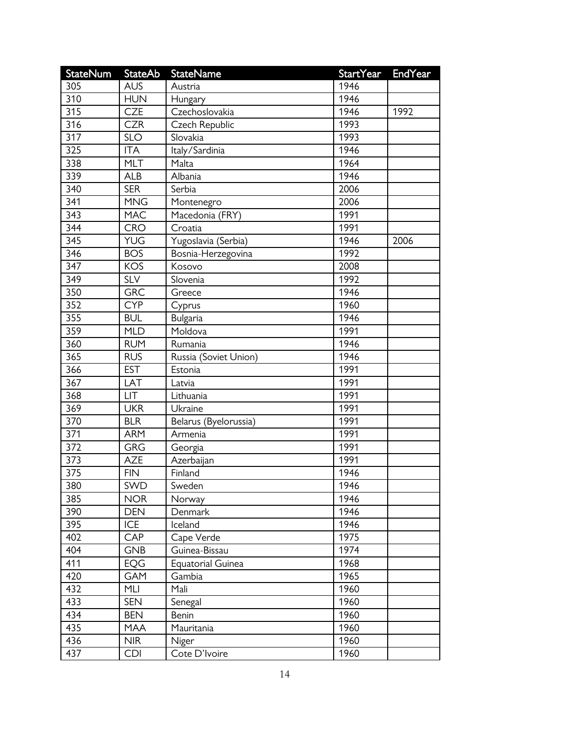| <b>StateNum</b> | <b>StateAb</b> | <b>StateName</b>         | <b>StartYear</b> | <b>EndYear</b> |
|-----------------|----------------|--------------------------|------------------|----------------|
| 305             | <b>AUS</b>     | Austria                  | 1946             |                |
| 310             | <b>HUN</b>     | Hungary                  | 1946             |                |
| 315             | <b>CZE</b>     | Czechoslovakia           | 1946             | 1992           |
| 316             | <b>CZR</b>     | Czech Republic           | 1993             |                |
| 317             | <b>SLO</b>     | Slovakia                 | 1993             |                |
| 325             | <b>ITA</b>     | Italy/Sardinia           | 1946             |                |
| 338             | <b>MLT</b>     | Malta                    | 1964             |                |
| 339             | <b>ALB</b>     | Albania                  | 1946             |                |
| 340             | <b>SER</b>     | Serbia                   | 2006             |                |
| 341             | <b>MNG</b>     | Montenegro               | 2006             |                |
| 343             | <b>MAC</b>     | Macedonia (FRY)          | 1991             |                |
| 344             | <b>CRO</b>     | Croatia                  | 1991             |                |
| 345             | <b>YUG</b>     | Yugoslavia (Serbia)      | 1946             | 2006           |
| 346             | <b>BOS</b>     | Bosnia-Herzegovina       | 1992             |                |
| 347             | <b>KOS</b>     | Kosovo                   | 2008             |                |
| 349             | <b>SLV</b>     | Slovenia                 | 1992             |                |
| 350             | <b>GRC</b>     | Greece                   | 1946             |                |
| 352             | <b>CYP</b>     | Cyprus                   | 1960             |                |
| 355             | <b>BUL</b>     | <b>Bulgaria</b>          | 1946             |                |
| 359             | <b>MLD</b>     | Moldova                  | 1991             |                |
| 360             | <b>RUM</b>     | Rumania                  | 1946             |                |
| 365             | <b>RUS</b>     | Russia (Soviet Union)    | 1946             |                |
| 366             | <b>EST</b>     | Estonia                  | 1991             |                |
| 367             | LAT            | Latvia                   | 1991             |                |
| 368             | LIT            | Lithuania                | 1991             |                |
| 369             | <b>UKR</b>     | Ukraine                  | 1991             |                |
| 370             | <b>BLR</b>     | Belarus (Byelorussia)    | 1991             |                |
| 371             | <b>ARM</b>     | Armenia                  | 1991             |                |
| 372             | <b>GRG</b>     | Georgia                  | 1991             |                |
| 373             | <b>AZE</b>     | Azerbaijan               | 1991             |                |
| 375             | <b>FIN</b>     | Finland                  | 1946             |                |
| 380             | SWD            | Sweden                   | 1946             |                |
| 385             | <b>NOR</b>     | Norway                   | 1946             |                |
| 390             | <b>DEN</b>     | Denmark                  | 1946             |                |
| 395             | ICE            | Iceland                  | 1946             |                |
| 402             | <b>CAP</b>     | Cape Verde               | 1975             |                |
| 404             | <b>GNB</b>     | Guinea-Bissau            | 1974             |                |
| 411             | <b>EQG</b>     | <b>Equatorial Guinea</b> | 1968             |                |
| 420             | <b>GAM</b>     | Gambia                   | 1965             |                |
| 432             | MLI            | Mali                     | 1960             |                |
| 433             | <b>SEN</b>     | Senegal                  | 1960             |                |
| 434             | <b>BEN</b>     | Benin                    | 1960             |                |
| 435             | MAA            | Mauritania               | 1960             |                |
| 436             | <b>NIR</b>     | Niger                    | 1960             |                |
| 437             | CDI            | Cote D'Ivoire            | 1960             |                |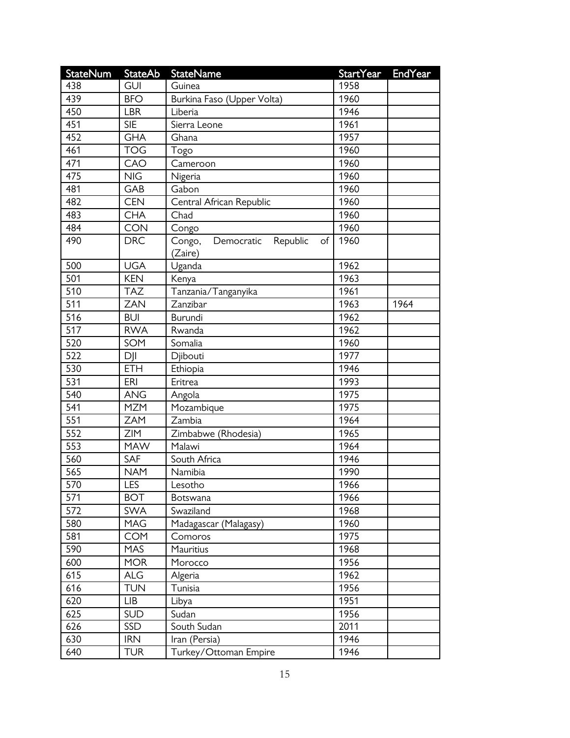| <b>StateNum</b> | <b>StateAb</b> | <b>StateName</b>                                  | <b>StartYear</b> | <b>EndYear</b> |
|-----------------|----------------|---------------------------------------------------|------------------|----------------|
| 438             | <b>GUI</b>     | Guinea                                            | 1958             |                |
| 439             | <b>BFO</b>     | Burkina Faso (Upper Volta)                        | 1960             |                |
| 450             | <b>LBR</b>     | Liberia                                           | 1946             |                |
| 451             | <b>SIE</b>     | Sierra Leone                                      | 1961             |                |
| 452             | <b>GHA</b>     | Ghana                                             | 1957             |                |
| 461             | <b>TOG</b>     | Togo                                              | 1960             |                |
| 471             | CAO            | Cameroon                                          | 1960             |                |
| 475             | NIG            | Nigeria                                           | 1960             |                |
| 481             | GAB            | Gabon                                             | 1960             |                |
| 482             | <b>CEN</b>     | Central African Republic                          | 1960             |                |
| 483             | <b>CHA</b>     | Chad                                              | 1960             |                |
| 484             | <b>CON</b>     | Congo                                             | 1960             |                |
| 490             | <b>DRC</b>     | Republic<br>Congo,<br>Democratic<br>of<br>(Zaire) | 1960             |                |
| 500             | <b>UGA</b>     | Uganda                                            | 1962             |                |
| 501             | <b>KEN</b>     | Kenya                                             | 1963             |                |
| 510             | <b>TAZ</b>     | Tanzania/Tanganyika                               | 1961             |                |
| 511             | <b>ZAN</b>     | Zanzibar                                          | 1963             | 1964           |
| 516             | <b>BUI</b>     | Burundi                                           | 1962             |                |
| 517             | <b>RWA</b>     | Rwanda                                            | 1962             |                |
| 520             | SOM            | Somalia                                           | 1960             |                |
| 522             | $D$            | Djibouti                                          | 1977             |                |
| 530             | <b>ETH</b>     | Ethiopia                                          | 1946             |                |
| 531             | ERI            | Eritrea                                           | 1993             |                |
| 540             | <b>ANG</b>     | Angola                                            | 1975             |                |
| 541             | <b>MZM</b>     | Mozambique                                        | 1975             |                |
| 551             | ZAM            | Zambia                                            | 1964             |                |
| 552             | <b>ZIM</b>     | Zimbabwe (Rhodesia)                               | 1965             |                |
| 553             | <b>MAW</b>     | Malawi                                            | 1964             |                |
| 560             | SAF            | South Africa                                      | 1946             |                |
| 565             | <b>NAM</b>     | Namibia                                           | 1990             |                |
| 570             | <b>LES</b>     | Lesotho                                           | 1966             |                |
| 571             | <b>BOT</b>     | Botswana                                          | 1966             |                |
| 572             | <b>SWA</b>     | Swaziland                                         | 1968             |                |
| 580             | MAG            | Madagascar (Malagasy)                             | 1960             |                |
| 581             | <b>COM</b>     | Comoros                                           | 1975             |                |
| 590             | <b>MAS</b>     | Mauritius                                         | 1968             |                |
| 600             | <b>MOR</b>     | Morocco                                           | 1956             |                |
| 615             | <b>ALG</b>     | Algeria                                           | 1962             |                |
| 616             | <b>TUN</b>     | Tunisia                                           | 1956             |                |
| 620             | <b>LIB</b>     | Libya                                             | 1951             |                |
| 625             | <b>SUD</b>     | Sudan                                             | 1956             |                |
| 626             | SSD            | South Sudan                                       | 2011             |                |
| 630             | <b>IRN</b>     | Iran (Persia)                                     | 1946             |                |
| 640             | <b>TUR</b>     | Turkey/Ottoman Empire                             | 1946             |                |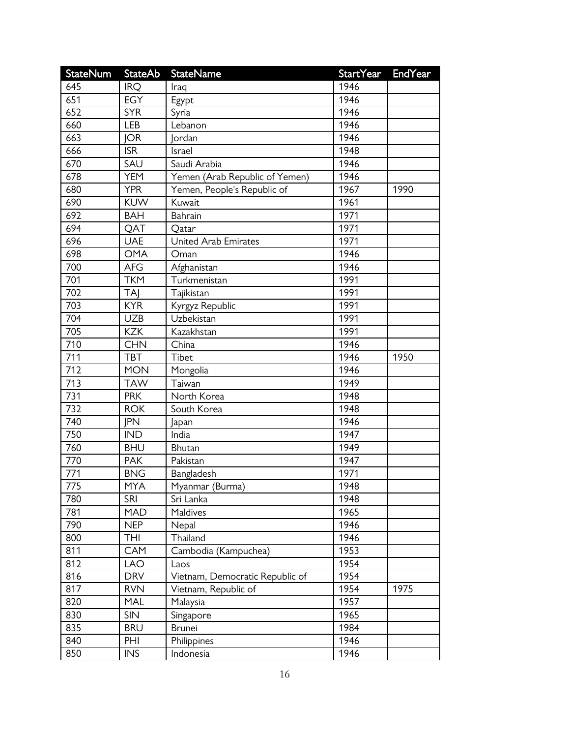| <b>StateNum</b> | <b>StateAb</b> | <b>StateName</b>                | StartYear | EndYear |
|-----------------|----------------|---------------------------------|-----------|---------|
| 645             | <b>IRQ</b>     | Iraq                            | 1946      |         |
| 651             | <b>EGY</b>     | Egypt                           | 1946      |         |
| 652             | <b>SYR</b>     | Syria                           | 1946      |         |
| 660             | <b>LEB</b>     | Lebanon                         | 1946      |         |
| 663             | <b>JOR</b>     | <b>Jordan</b>                   | 1946      |         |
| 666             | <b>ISR</b>     | Israel                          | 1948      |         |
| 670             | SAU            | Saudi Arabia                    | 1946      |         |
| 678             | <b>YEM</b>     | Yemen (Arab Republic of Yemen)  | 1946      |         |
| 680             | <b>YPR</b>     | Yemen, People's Republic of     | 1967      | 1990    |
| 690             | <b>KUW</b>     | Kuwait                          | 1961      |         |
| 692             | <b>BAH</b>     | Bahrain                         | 1971      |         |
| 694             | QAT            | Qatar                           | 1971      |         |
| 696             | <b>UAE</b>     | <b>United Arab Emirates</b>     | 1971      |         |
| 698             | <b>OMA</b>     | Oman                            | 1946      |         |
| 700             | <b>AFG</b>     | Afghanistan                     | 1946      |         |
| 701             | <b>TKM</b>     | Turkmenistan                    | 1991      |         |
| 702             | TAJ            | Tajikistan                      | 1991      |         |
| 703             | <b>KYR</b>     | Kyrgyz Republic                 | 1991      |         |
| 704             | <b>UZB</b>     | Uzbekistan                      | 1991      |         |
| 705             | <b>KZK</b>     | Kazakhstan                      | 1991      |         |
| 710             | <b>CHN</b>     | China                           | 1946      |         |
| 711             | <b>TBT</b>     | Tibet                           | 1946      | 1950    |
| 712             | <b>MON</b>     | Mongolia                        | 1946      |         |
| 713             | <b>TAW</b>     | Taiwan                          | 1949      |         |
| 731             | <b>PRK</b>     | North Korea                     | 1948      |         |
| 732             | <b>ROK</b>     | South Korea                     | 1948      |         |
| 740             | <b>IPN</b>     | Japan                           | 1946      |         |
| 750             | <b>IND</b>     | India                           | 1947      |         |
| 760             | <b>BHU</b>     | Bhutan                          | 1949      |         |
| 770             | <b>PAK</b>     | Pakistan                        | 1947      |         |
| 771             | <b>BNG</b>     | Bangladesh                      | 1971      |         |
| 775             | <b>MYA</b>     | Myanmar (Burma)                 | 1948      |         |
| 780             | <b>SRI</b>     | Sri Lanka                       | 1948      |         |
| 781             | <b>MAD</b>     | <b>Maldives</b>                 | 1965      |         |
| 790             | <b>NEP</b>     | Nepal                           | 1946      |         |
| 800             | THI            | Thailand                        | 1946      |         |
| 811             | CAM            | Cambodia (Kampuchea)            | 1953      |         |
| 812             | LAO            | Laos                            | 1954      |         |
| 816             | <b>DRV</b>     | Vietnam, Democratic Republic of | 1954      |         |
| 817             | <b>RVN</b>     | Vietnam, Republic of            | 1954      | 1975    |
| 820             | <b>MAL</b>     | Malaysia                        | 1957      |         |
| 830             | <b>SIN</b>     | Singapore                       | 1965      |         |
| 835             | <b>BRU</b>     | <b>Brunei</b>                   | 1984      |         |
| 840             | PHI            | Philippines                     | 1946      |         |
| 850             | <b>INS</b>     | Indonesia                       | 1946      |         |